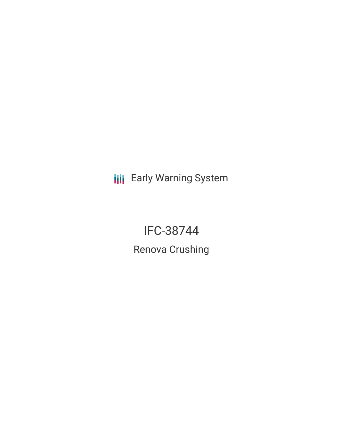**III** Early Warning System

IFC-38744 Renova Crushing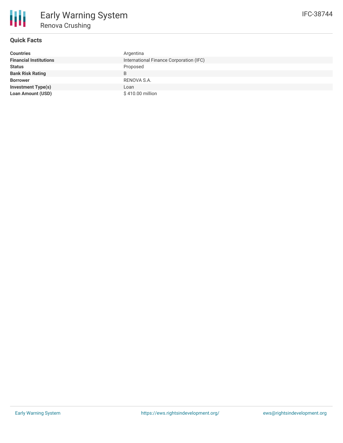

# **Quick Facts**

| <b>Countries</b>              | Argentina                               |
|-------------------------------|-----------------------------------------|
| <b>Financial Institutions</b> | International Finance Corporation (IFC) |
| <b>Status</b>                 | Proposed                                |
| <b>Bank Risk Rating</b>       | B                                       |
| <b>Borrower</b>               | RENOVA S.A.                             |
| <b>Investment Type(s)</b>     | Loan                                    |
| <b>Loan Amount (USD)</b>      | \$410.00 million                        |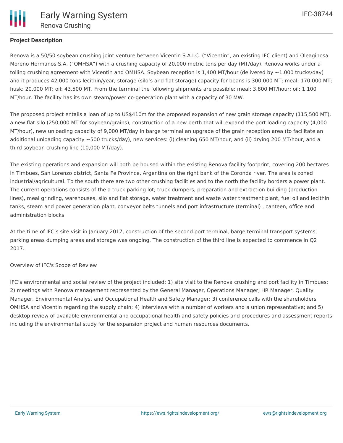# **Project Description**

Renova is a 50/50 soybean crushing joint venture between Vicentin S.A.I.C. ("Vicentin", an existing IFC client) and Oleaginosa Moreno Hermanos S.A. ("OMHSA") with a crushing capacity of 20,000 metric tons per day (MT/day). Renova works under a tolling crushing agreement with Vicentin and OMHSA. Soybean reception is 1,400 MT/hour (delivered by ~1,000 trucks/day) and it produces 42,000 tons lecithin/year; storage (silo's and flat storage) capacity for beans is 300,000 MT; meal: 170,000 MT; husk: 20,000 MT; oil: 43,500 MT. From the terminal the following shipments are possible: meal: 3,800 MT/hour; oil: 1,100 MT/hour. The facility has its own steam/power co-generation plant with a capacity of 30 MW.

The proposed project entails a loan of up to US\$410m for the proposed expansion of new grain storage capacity (115,500 MT), a new flat silo (250,000 MT for soybean/grains), construction of a new berth that will expand the port loading capacity (4,000 MT/hour), new unloading capacity of 9,000 MT/day in barge terminal an upgrade of the grain reception area (to facilitate an additional unloading capacity ~500 trucks/day), new services: (i) cleaning 650 MT/hour, and (ii) drying 200 MT/hour, and a third soybean crushing line (10,000 MT/day).

The existing operations and expansion will both be housed within the existing Renova facility footprint, covering 200 hectares in Timbues, San Lorenzo district, Santa Fe Province, Argentina on the right bank of the Coronda river. The area is zoned industrial/agricultural. To the south there are two other crushing facilities and to the north the facility borders a power plant. The current operations consists of the a truck parking lot; truck dumpers, preparation and extraction building (production lines), meal grinding, warehouses, silo and flat storage, water treatment and waste water treatment plant, fuel oil and lecithin tanks, steam and power generation plant, conveyor belts tunnels and port infrastructure (terminal) , canteen, office and administration blocks.

At the time of IFC's site visit in January 2017, construction of the second port terminal, barge terminal transport systems, parking areas dumping areas and storage was ongoing. The construction of the third line is expected to commence in Q2 2017.

#### Overview of IFC's Scope of Review

IFC's environmental and social review of the project included: 1) site visit to the Renova crushing and port facility in Timbues; 2) meetings with Renova management represented by the General Manager, Operations Manager, HR Manager, Quality Manager, Environmental Analyst and Occupational Health and Safety Manager; 3) conference calls with the shareholders OMHSA and Vicentin regarding the supply chain; 4) interviews with a number of workers and a union representative; and 5) desktop review of available environmental and occupational health and safety policies and procedures and assessment reports including the environmental study for the expansion project and human resources documents.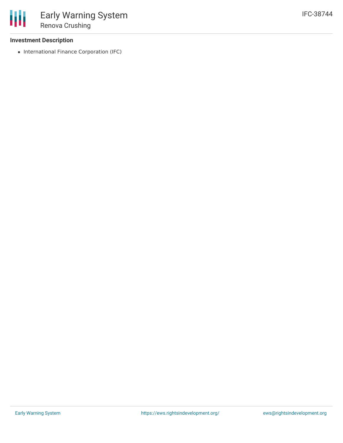### **Investment Description**

• International Finance Corporation (IFC)